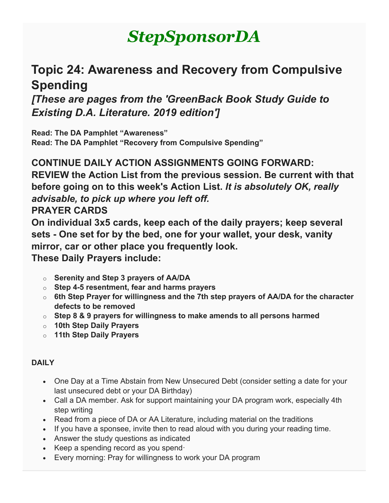# *StepSponsorDA*

## **Topic 24: Awareness and Recovery from Compulsive Spending**

*[These are pages from the 'GreenBack Book Study Guide to Existing D.A. Literature. 2019 edition']*

**Read: The DA Pamphlet "Awareness" Read: The DA Pamphlet "Recovery from Compulsive Spending"**

## **CONTINUE DAILY ACTION ASSIGNMENTS GOING FORWARD:**

**REVIEW the Action List from the previous session. Be current with that before going on to this week's Action List.** *It is absolutely OK, really advisable, to pick up where you left off.*

### **PRAYER CARDS**

**On individual 3x5 cards, keep each of the daily prayers; keep several sets - One set for by the bed, one for your wallet, your desk, vanity mirror, car or other place you frequently look. These Daily Prayers include:**

- o **Serenity and Step 3 prayers of AA/DA**
- o **Step 4-5 resentment, fear and harms prayers**
- o **6th Step Prayer for willingness and the 7th step prayers of AA/DA for the character defects to be removed**
- o **Step 8 & 9 prayers for willingness to make amends to all persons harmed**
- o **10th Step Daily Prayers**
- o **11th Step Daily Prayers**

### **DAILY**

- One Day at a Time Abstain from New Unsecured Debt (consider setting a date for your last unsecured debt or your DA Birthday)
- Call a DA member. Ask for support maintaining your DA program work, especially 4th step writing
- Read from a piece of DA or AA Literature, including material on the traditions
- If you have a sponsee, invite then to read aloud with you during your reading time.
- Answer the study questions as indicated
- Keep a spending record as you spend·
- Every morning: Pray for willingness to work your DA program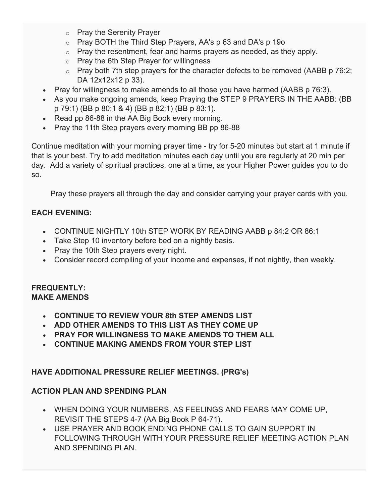- o Pray the Serenity Prayer
- o Pray BOTH the Third Step Prayers, AA's p 63 and DA's p 19o
- $\circ$  Pray the resentment, fear and harms prayers as needed, as they apply.
- $\circ$  Pray the 6th Step Prayer for willingness
- $\circ$  Pray both 7th step prayers for the character defects to be removed (AABB p 76:2; DA 12x12x12 p 33).
- Pray for willingness to make amends to all those you have harmed (AABB p 76:3).
- As you make ongoing amends, keep Praying the STEP 9 PRAYERS IN THE AABB: (BB p 79:1) (BB p 80:1 & 4) (BB p 82:1) (BB p 83:1).
- Read pp 86-88 in the AA Big Book every morning.
- Pray the 11th Step prayers every morning BB pp 86-88

Continue meditation with your morning prayer time - try for 5-20 minutes but start at 1 minute if that is your best. Try to add meditation minutes each day until you are regularly at 20 min per day. Add a variety of spiritual practices, one at a time, as your Higher Power guides you to do so.

Pray these prayers all through the day and consider carrying your prayer cards with you.

#### **EACH EVENING:**

- CONTINUE NIGHTLY 10th STEP WORK BY READING AABB p 84:2 OR 86:1
- Take Step 10 inventory before bed on a nightly basis.
- Pray the 10th Step prayers every night.
- Consider record compiling of your income and expenses, if not nightly, then weekly.

#### **FREQUENTLY: MAKE AMENDS**

- **CONTINUE TO REVIEW YOUR 8th STEP AMENDS LIST**
- **ADD OTHER AMENDS TO THIS LIST AS THEY COME UP**
- **PRAY FOR WILLINGNESS TO MAKE AMENDS TO THEM ALL**
- **CONTINUE MAKING AMENDS FROM YOUR STEP LIST**

#### **HAVE ADDITIONAL PRESSURE RELIEF MEETINGS. (PRG's)**

#### **ACTION PLAN AND SPENDING PLAN**

- WHEN DOING YOUR NUMBERS, AS FEELINGS AND FEARS MAY COME UP, REVISIT THE STEPS 4-7 (AA Big Book P 64-71).
- USE PRAYER AND BOOK ENDING PHONE CALLS TO GAIN SUPPORT IN FOLLOWING THROUGH WITH YOUR PRESSURE RELIEF MEETING ACTION PLAN AND SPENDING PLAN.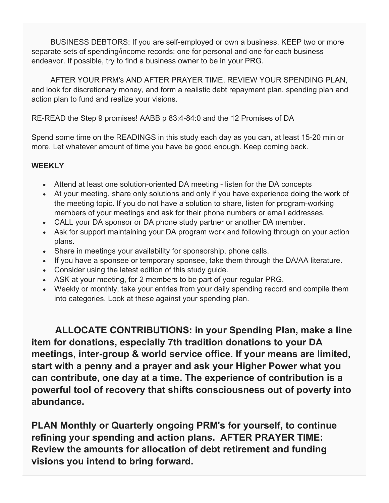BUSINESS DEBTORS: If you are self-employed or own a business, KEEP two or more separate sets of spending/income records: one for personal and one for each business endeavor. If possible, try to find a business owner to be in your PRG.

 AFTER YOUR PRM's AND AFTER PRAYER TIME, REVIEW YOUR SPENDING PLAN, and look for discretionary money, and form a realistic debt repayment plan, spending plan and action plan to fund and realize your visions.

RE-READ the Step 9 promises! AABB p 83:4-84:0 and the 12 Promises of DA

Spend some time on the READINGS in this study each day as you can, at least 15-20 min or more. Let whatever amount of time you have be good enough. Keep coming back.

#### **WEEKLY**

- Attend at least one solution-oriented DA meeting listen for the DA concepts
- At your meeting, share only solutions and only if you have experience doing the work of the meeting topic. If you do not have a solution to share, listen for program-working members of your meetings and ask for their phone numbers or email addresses.
- CALL your DA sponsor or DA phone study partner or another DA member.
- Ask for support maintaining your DA program work and following through on your action plans.
- Share in meetings your availability for sponsorship, phone calls.
- If you have a sponsee or temporary sponsee, take them through the DA/AA literature.
- Consider using the latest edition of this study guide.
- ASK at your meeting, for 2 members to be part of your regular PRG.
- Weekly or monthly, take your entries from your daily spending record and compile them into categories. Look at these against your spending plan.

 **ALLOCATE CONTRIBUTIONS: in your Spending Plan, make a line item for donations, especially 7th tradition donations to your DA meetings, inter-group & world service office. If your means are limited, start with a penny and a prayer and ask your Higher Power what you can contribute, one day at a time. The experience of contribution is a powerful tool of recovery that shifts consciousness out of poverty into abundance.**

**PLAN Monthly or Quarterly ongoing PRM's for yourself, to continue refining your spending and action plans. AFTER PRAYER TIME: Review the amounts for allocation of debt retirement and funding visions you intend to bring forward.**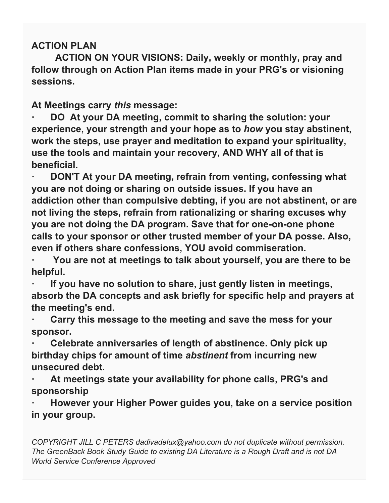## **ACTION PLAN**

 **ACTION ON YOUR VISIONS: Daily, weekly or monthly, pray and follow through on Action Plan items made in your PRG's or visioning sessions.**

**At Meetings carry** *this* **message:**

**· DO At your DA meeting, commit to sharing the solution: your experience, your strength and your hope as to** *how* **you stay abstinent, work the steps, use prayer and meditation to expand your spirituality, use the tools and maintain your recovery, AND WHY all of that is beneficial.**

**· DON'T At your DA meeting, refrain from venting, confessing what you are not doing or sharing on outside issues. If you have an addiction other than compulsive debting, if you are not abstinent, or are not living the steps, refrain from rationalizing or sharing excuses why you are not doing the DA program. Save that for one-on-one phone calls to your sponsor or other trusted member of your DA posse. Also, even if others share confessions, YOU avoid commiseration.**

**· You are not at meetings to talk about yourself, you are there to be helpful.**

**· If you have no solution to share, just gently listen in meetings, absorb the DA concepts and ask briefly for specific help and prayers at the meeting's end.**

**· Carry this message to the meeting and save the mess for your sponsor.**

**· Celebrate anniversaries of length of abstinence. Only pick up birthday chips for amount of time** *abstinent* **from incurring new unsecured debt.**

**· At meetings state your availability for phone calls, PRG's and sponsorship**

**· However your Higher Power guides you, take on a service position in your group.**

*COPYRIGHT JILL C PETERS dadivadelux@yahoo.com do not duplicate without permission. The GreenBack Book Study Guide to existing DA Literature is a Rough Draft and is not DA World Service Conference Approved*